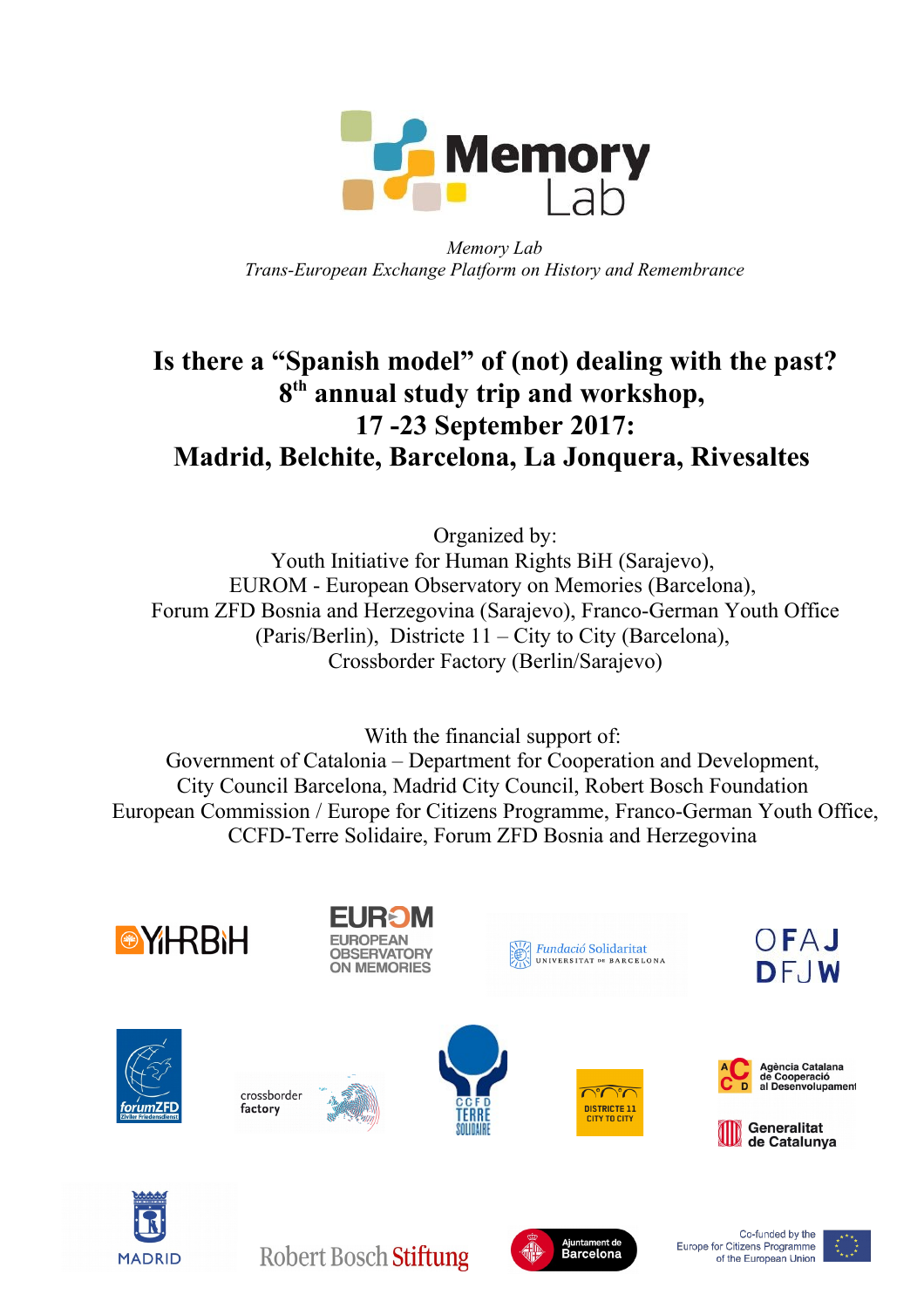

*Memory Lab Trans-European Exchange Platform on History and Remembrance*

# **Is there a "Spanish model" of (not) dealing with the past? 8 th annual study trip and workshop, 17 -23 September 2017: Madrid, Belchite, Barcelona, La Jonquera, Rivesaltes**

Organized by: Youth Initiative for Human Rights BiH (Sarajevo), EUROM - European Observatory on Memories (Barcelona), Forum ZFD Bosnia and Herzegovina (Sarajevo), Franco-German Youth Office (Paris/Berlin), Districte 11 – City to City (Barcelona), Crossborder Factory (Berlin/Sarajevo)

With the financial support of: Government of Catalonia – Department for Cooperation and Development, City Council Barcelona, Madrid City Council, Robert Bosch Foundation European Commission / Europe for Citizens Programme, Franco-German Youth Office, CCFD-Terre Solidaire, Forum ZFD Bosnia and Herzegovina



of the European Union

**MADRID**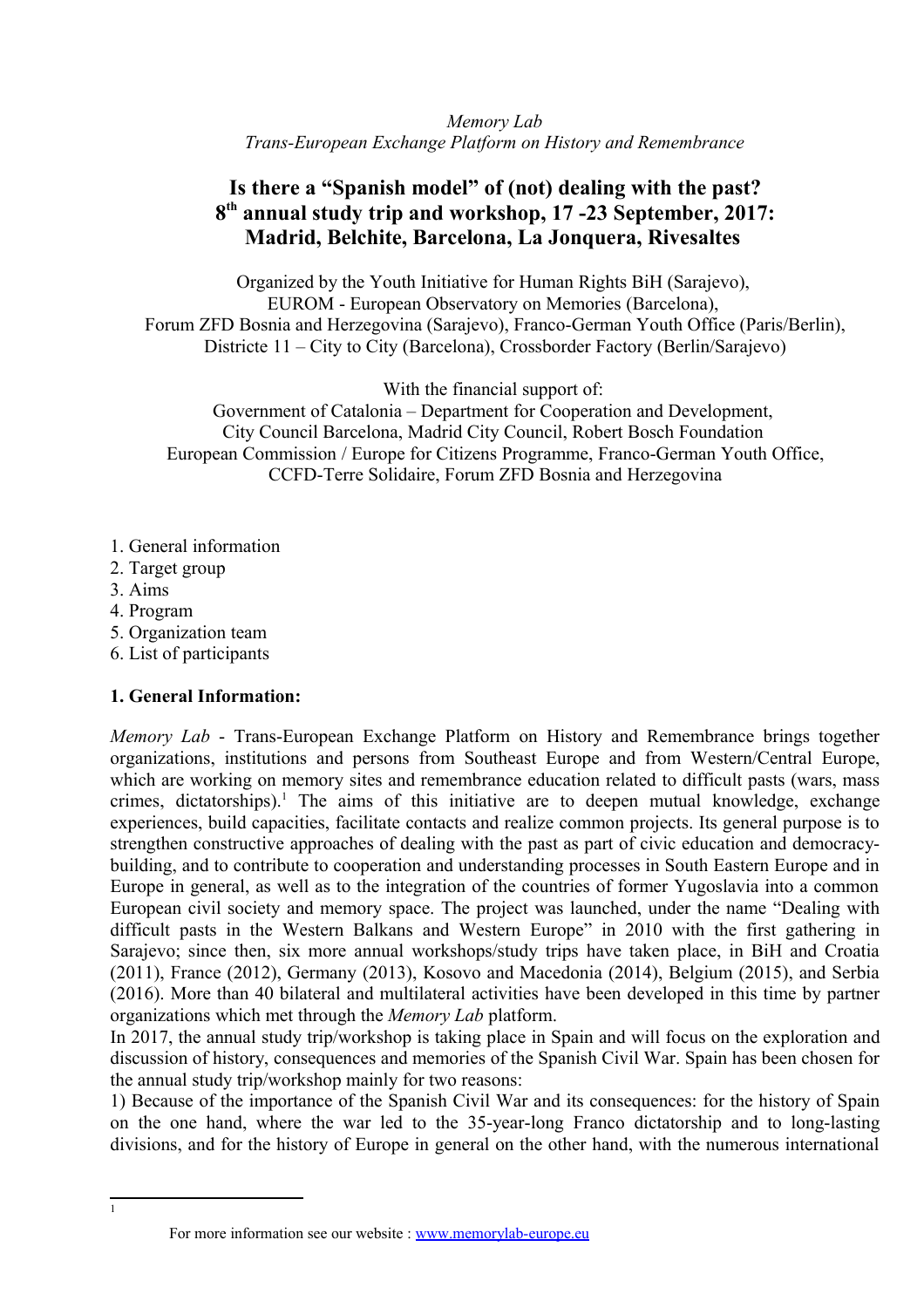*Memory Lab Trans-European Exchange Platform on History and Remembrance*

## **Is there a "Spanish model" of (not) dealing with the past? 8 th annual study trip and workshop, 17 -23 September, 2017: Madrid, Belchite, Barcelona, La Jonquera, Rivesaltes**

Organized by the Youth Initiative for Human Rights BiH (Sarajevo), EUROM - European Observatory on Memories (Barcelona), Forum ZFD Bosnia and Herzegovina (Sarajevo), Franco-German Youth Office (Paris/Berlin), Districte 11 – City to City (Barcelona), Crossborder Factory (Berlin/Sarajevo)

With the financial support of:

Government of Catalonia – Department for Cooperation and Development, City Council Barcelona, Madrid City Council, Robert Bosch Foundation European Commission / Europe for Citizens Programme, Franco-German Youth Office, CCFD-Terre Solidaire, Forum ZFD Bosnia and Herzegovina

- 1. General information
- 2. Target group
- 3. Aims
- 4. Program
- 5. Organization team
- 6. List of participants

#### **1. General Information:**

*Memory Lab* - Trans-European Exchange Platform on History and Remembrance brings together organizations, institutions and persons from Southeast Europe and from Western/Central Europe, which are working on memory sites and remembrance education related to difficult pasts (wars, mass crimes, dictatorships).<sup>[1](#page-1-0)</sup> The aims of this initiative are to deepen mutual knowledge, exchange experiences, build capacities, facilitate contacts and realize common projects. Its general purpose is to strengthen constructive approaches of dealing with the past as part of civic education and democracybuilding, and to contribute to cooperation and understanding processes in South Eastern Europe and in Europe in general, as well as to the integration of the countries of former Yugoslavia into a common European civil society and memory space. The project was launched, under the name "Dealing with difficult pasts in the Western Balkans and Western Europe" in 2010 with the first gathering in Sarajevo; since then, six more annual workshops/study trips have taken place, in BiH and Croatia (2011), France (2012), Germany (2013), Kosovo and Macedonia (2014), Belgium (2015), and Serbia (2016). More than 40 bilateral and multilateral activities have been developed in this time by partner organizations which met through the *Memory Lab* platform.

In 2017, the annual study trip/workshop is taking place in Spain and will focus on the exploration and discussion of history, consequences and memories of the Spanish Civil War. Spain has been chosen for the annual study trip/workshop mainly for two reasons:

1) Because of the importance of the Spanish Civil War and its consequences: for the history of Spain on the one hand, where the war led to the 35-year-long Franco dictatorship and to long-lasting divisions, and for the history of Europe in general on the other hand, with the numerous international

For more information see our website : [www.memorylab-europe.eu](http://www.memorylab-europe.eu/)

<span id="page-1-0"></span>1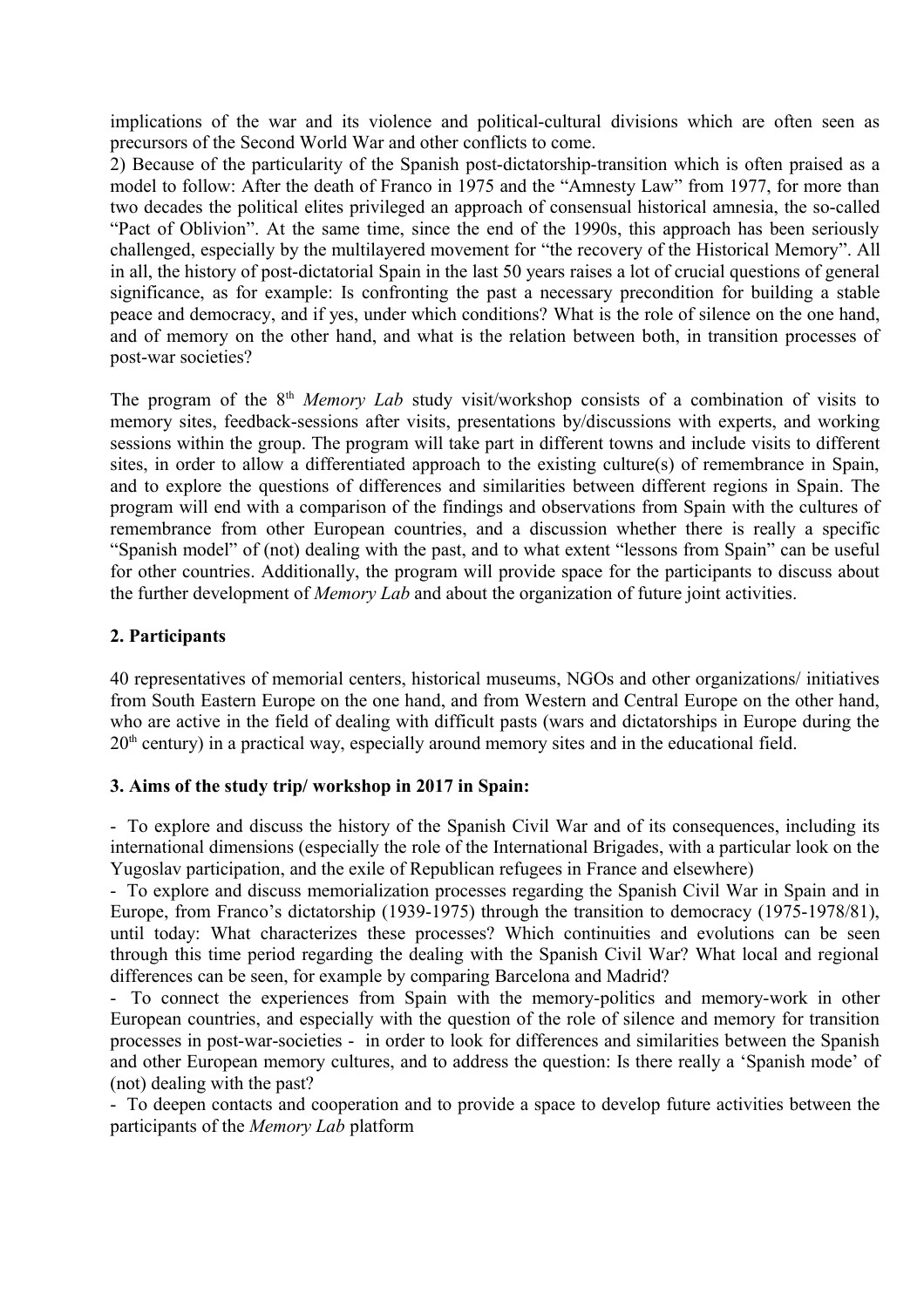implications of the war and its violence and political-cultural divisions which are often seen as precursors of the Second World War and other conflicts to come.

2) Because of the particularity of the Spanish post-dictatorship-transition which is often praised as a model to follow: After the death of Franco in 1975 and the "Amnesty Law" from 1977, for more than two decades the political elites privileged an approach of consensual historical amnesia, the so-called "Pact of Oblivion". At the same time, since the end of the 1990s, this approach has been seriously challenged, especially by the multilayered movement for "the recovery of the Historical Memory". All in all, the history of post-dictatorial Spain in the last 50 years raises a lot of crucial questions of general significance, as for example: Is confronting the past a necessary precondition for building a stable peace and democracy, and if yes, under which conditions? What is the role of silence on the one hand, and of memory on the other hand, and what is the relation between both, in transition processes of post-war societies?

The program of the 8<sup>th</sup> *Memory Lab* study visit/workshop consists of a combination of visits to memory sites, feedback-sessions after visits, presentations by/discussions with experts, and working sessions within the group. The program will take part in different towns and include visits to different sites, in order to allow a differentiated approach to the existing culture(s) of remembrance in Spain, and to explore the questions of differences and similarities between different regions in Spain. The program will end with a comparison of the findings and observations from Spain with the cultures of remembrance from other European countries, and a discussion whether there is really a specific "Spanish model" of (not) dealing with the past, and to what extent "lessons from Spain" can be useful for other countries. Additionally, the program will provide space for the participants to discuss about the further development of *Memory Lab* and about the organization of future joint activities.

## **2. Participants**

40 representatives of memorial centers, historical museums, NGOs and other organizations/ initiatives from South Eastern Europe on the one hand, and from Western and Central Europe on the other hand, who are active in the field of dealing with difficult pasts (wars and dictatorships in Europe during the  $20<sup>th</sup>$  century) in a practical way, especially around memory sites and in the educational field.

## **3. Aims of the study trip/ workshop in 2017 in Spain:**

- To explore and discuss the history of the Spanish Civil War and of its consequences, including its international dimensions (especially the role of the International Brigades, with a particular look on the Yugoslav participation, and the exile of Republican refugees in France and elsewhere)

- To explore and discuss memorialization processes regarding the Spanish Civil War in Spain and in Europe, from Franco's dictatorship (1939-1975) through the transition to democracy (1975-1978/81), until today: What characterizes these processes? Which continuities and evolutions can be seen through this time period regarding the dealing with the Spanish Civil War? What local and regional differences can be seen, for example by comparing Barcelona and Madrid?

- To connect the experiences from Spain with the memory-politics and memory-work in other European countries, and especially with the question of the role of silence and memory for transition processes in post-war-societies - in order to look for differences and similarities between the Spanish and other European memory cultures, and to address the question: Is there really a 'Spanish mode' of (not) dealing with the past?

- To deepen contacts and cooperation and to provide a space to develop future activities between the participants of the *Memory Lab* platform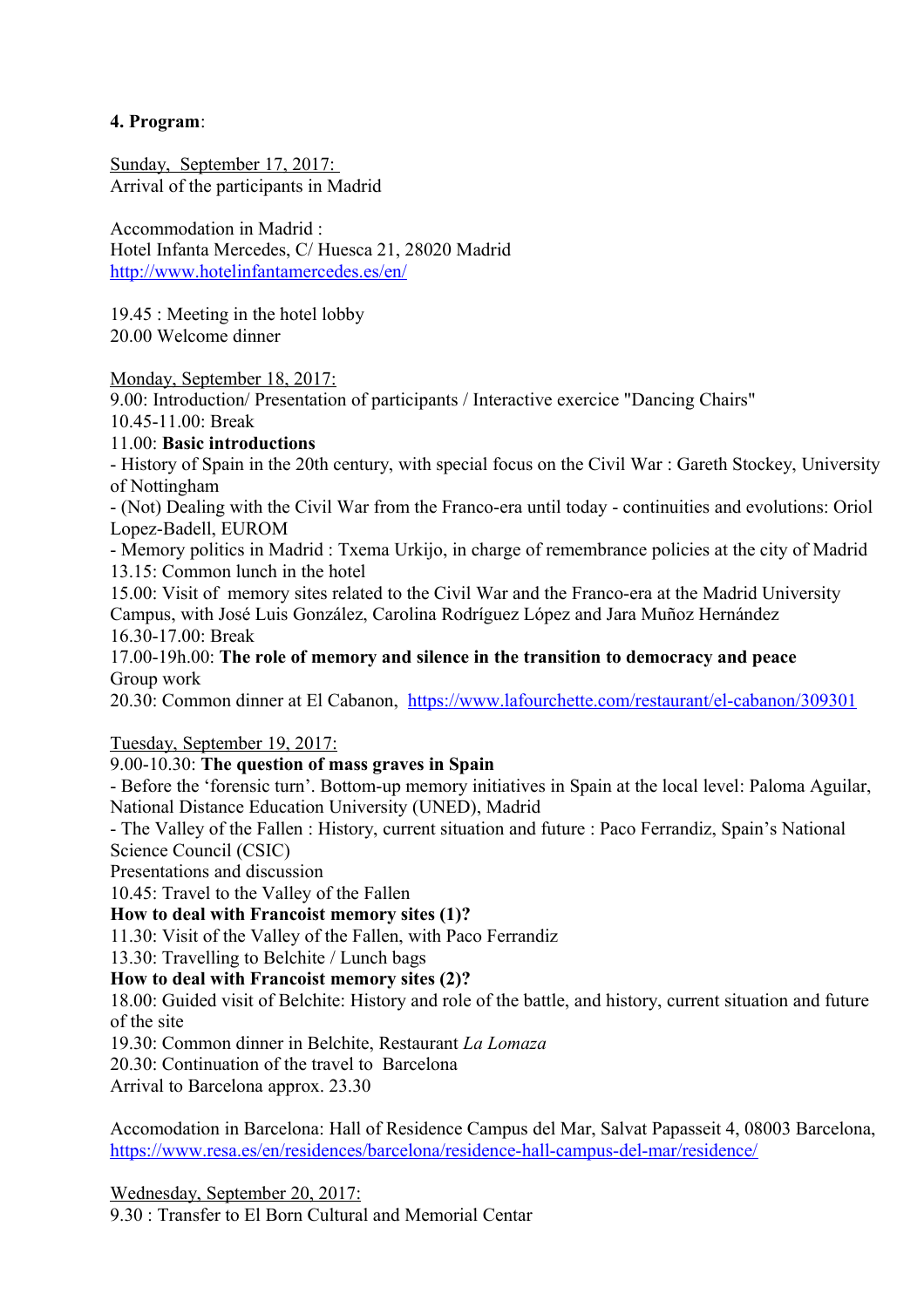## **4. Program**:

Sunday, September 17, 2017: Arrival of the participants in Madrid

Accommodation in Madrid : Hotel Infanta Mercedes, C/ Huesca 21, 28020 Madrid <http://www.hotelinfantamercedes.es/en/>

19.45 : Meeting in the hotel lobby 20.00 Welcome dinner

Monday, September 18, 2017:

9.00: Introduction/ Presentation of participants / Interactive exercice "Dancing Chairs" 10.45-11.00: Break

## 11.00: **Basic introductions**

- History of Spain in the 20th century, with special focus on the Civil War : Gareth Stockey, University of Nottingham

- (Not) Dealing with the Civil War from the Franco-era until today - continuities and evolutions: Oriol Lopez-Badell, EUROM

- Memory politics in Madrid : Txema Urkijo, in charge of remembrance policies at the city of Madrid 13.15: Common lunch in the hotel

15.00: Visit of memory sites related to the Civil War and the Franco-era at the Madrid University Campus, with José Luis González, Carolina Rodríguez López and Jara Muñoz Hernández 16.30-17.00: Break

17.00-19h.00: **The role of memory and silence in the transition to democracy and peace** Group work

20.30: Common dinner at El Cabanon, <https://www.lafourchette.com/restaurant/el-cabanon/309301>

Tuesday, September 19, 2017:

## 9.00-10.30: **The question of mass graves in Spain**

- Before the 'forensic turn'. Bottom-up memory initiatives in Spain at the local level: Paloma Aguilar, National Distance Education University (UNED), Madrid

- The Valley of the Fallen : History, current situation and future : Paco Ferrandiz, Spain's National Science Council (CSIC)

Presentations and discussion

10.45: Travel to the Valley of the Fallen

## **How to deal with Francoist memory sites (1)?**

11.30: Visit of the Valley of the Fallen, with Paco Ferrandiz

13.30: Travelling to Belchite / Lunch bags

## **How to deal with Francoist memory sites (2)?**

18.00: Guided visit of Belchite: History and role of the battle, and history, current situation and future of the site

19.30: Common dinner in Belchite, Restaurant *La Lomaza*

20.30: Continuation of the travel to Barcelona

Arrival to Barcelona approx. 23.30

Accomodation in Barcelona: Hall of Residence Campus del Mar, Salvat Papasseit 4, 08003 Barcelona, <https://www.resa.es/en/residences/barcelona/residence-hall-campus-del-mar/residence/>

Wednesday, September 20, 2017: 9.30 : Transfer to El Born Cultural and Memorial Centar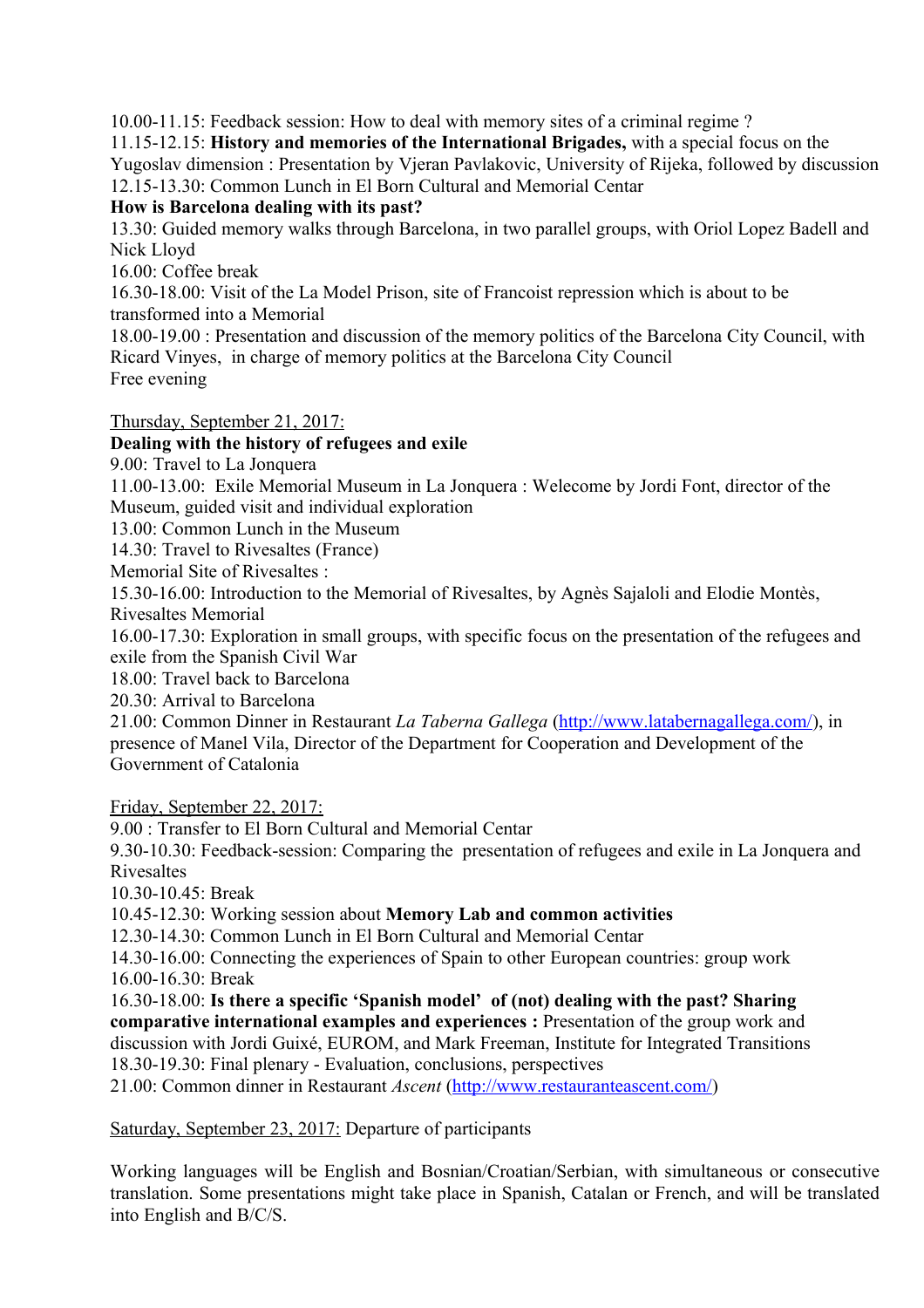10.00-11.15: Feedback session: How to deal with memory sites of a criminal regime ?

11.15-12.15: **History and memories of the International Brigades,** with a special focus on the Yugoslav dimension : Presentation by Vjeran Pavlakovic, University of Rijeka, followed by discussion 12.15-13.30: Common Lunch in El Born Cultural and Memorial Centar

**How is Barcelona dealing with its past?**

13.30: Guided memory walks through Barcelona, in two parallel groups, with Oriol Lopez Badell and Nick Lloyd

16.00: Coffee break

16.30-18.00: Visit of the La Model Prison, site of Francoist repression which is about to be transformed into a Memorial

18.00-19.00 : Presentation and discussion of the memory politics of the Barcelona City Council, with Ricard Vinyes, in charge of memory politics at the Barcelona City Council Free evening

Thursday, September 21, 2017:

## **Dealing with the history of refugees and exile**

9.00: Travel to La Jonquera

11.00-13.00: Exile Memorial Museum in La Jonquera : Welecome by Jordi Font, director of the Museum, guided visit and individual exploration

13.00: Common Lunch in the Museum

14.30: Travel to Rivesaltes (France)

Memorial Site of Rivesaltes :

15.30-16.00: Introduction to the Memorial of Rivesaltes, by Agnès Sajaloli and Elodie Montès, Rivesaltes Memorial

16.00-17.30: Exploration in small groups, with specific focus on the presentation of the refugees and exile from the Spanish Civil War

18.00: Travel back to Barcelona

20.30: Arrival to Barcelona

21.00: Common Dinner in Restaurant *La Taberna Gallega* [\(http://www.latabernagallega.com/\)](http://www.latabernagallega.com/), in presence of Manel Vila, Director of the Department for Cooperation and Development of the Government of Catalonia

Friday, September 22, 2017:

9.00 : Transfer to El Born Cultural and Memorial Centar

9.30-10.30: Feedback-session: Comparing the presentation of refugees and exile in La Jonquera and Rivesaltes

10.30-10.45: Break

10.45-12.30: Working session about **Memory Lab and common activities**

12.30-14.30: Common Lunch in El Born Cultural and Memorial Centar

14.30-16.00: Connecting the experiences of Spain to other European countries: group work 16.00-16.30: Break

16.30-18.00: **Is there a specific 'Spanish model' of (not) dealing with the past? Sharing comparative international examples and experiences :** Presentation of the group work and discussion with Jordi Guixé, EUROM, and Mark Freeman, Institute for Integrated Transitions 18.30-19.30: Final plenary - Evaluation, conclusions, perspectives

21.00: Common dinner in Restaurant *Ascent* [\(http://www.restauranteascent.com/\)](http://www.restauranteascent.com/)

Saturday, September 23, 2017: Departure of participants

Working languages will be English and Bosnian/Croatian/Serbian, with simultaneous or consecutive translation. Some presentations might take place in Spanish, Catalan or French, and will be translated into English and B/C/S.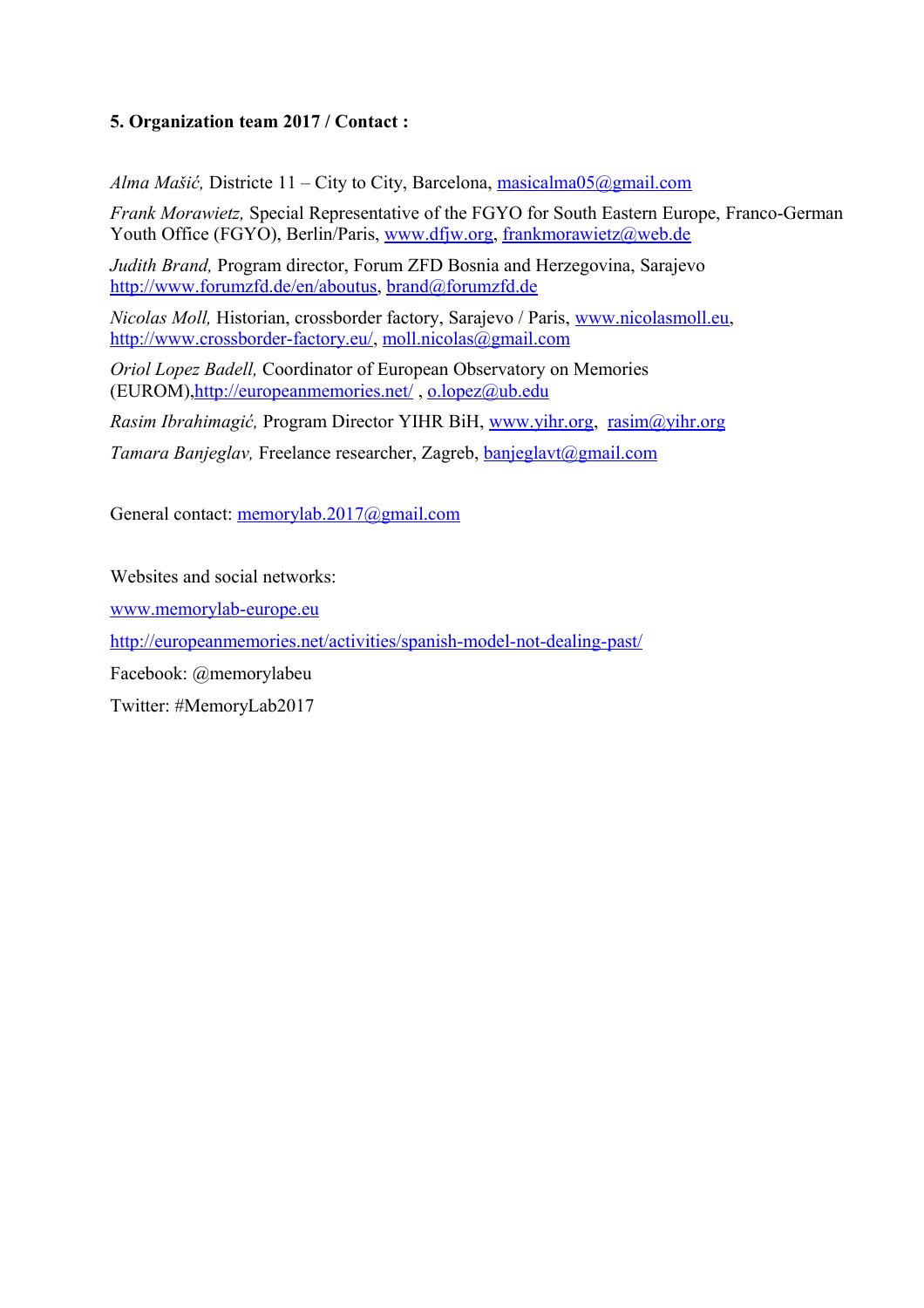## **5. Organization team 2017 / Contact :**

*Alma Mašić*, Districte 11 – City to City, Barcelona, [masicalma05@gmail.com](mailto:masicalma05@gmail.com)

*Frank Morawietz,* Special Representative of the FGYO for South Eastern Europe, Franco-German Youth Office (FGYO), Berlin/Paris, [www.dfjw.org,](http://www.dfjw.org/) [frankmorawietz@web.de](mailto:frankmorawietz@web.de)

*Judith Brand,* Program director, Forum ZFD Bosnia and Herzegovina, Sarajevo [http://www.forumzfd.de/en/aboutus,](http://www.forumzfd.de/en/aboutus) [brand@forumzfd.de](mailto:brand@forumzfd.de)

*Nicolas Moll,* Historian, crossborder factory, Sarajevo / Paris, [www.nicolasmoll.eu,](http://www.nicolasmoll.eu/) [http://www.crossborder-factory.eu/,](http://www.crossborder-factory.eu/) [moll.nicolas@gmail.com](mailto:moll.nicolas@gmail.com)

*Oriol Lopez Badell,* Coordinator of European Observatory on Memories (EUROM)[,http://europeanmemories.net/](http://europeanmemories.net/) , [o.lopez@ub.edu](mailto:o.lopez@ub.edu) 

*Rasim Ibrahimagić,* Program Director YIHR BiH, [www.yihr.org,](http://www.yihr.org/) [rasim@yihr.org](mailto:rasim@yihr.org) 

*Tamara Banjeglav,* Freelance researcher, Zagreb, [banjeglavt@gmail.com](mailto:banjeglavt@gmail.com)

General contact: [memorylab.2017@gmail.com](mailto:memorylab.2017@gmail.com)

Websites and social networks:

[www.memorylab-europe.eu](http://www.memorylab-europe.eu/)

<http://europeanmemories.net/activities/spanish-model-not-dealing-past/>

Facebook: @memorylabeu

Twitter: #MemoryLab2017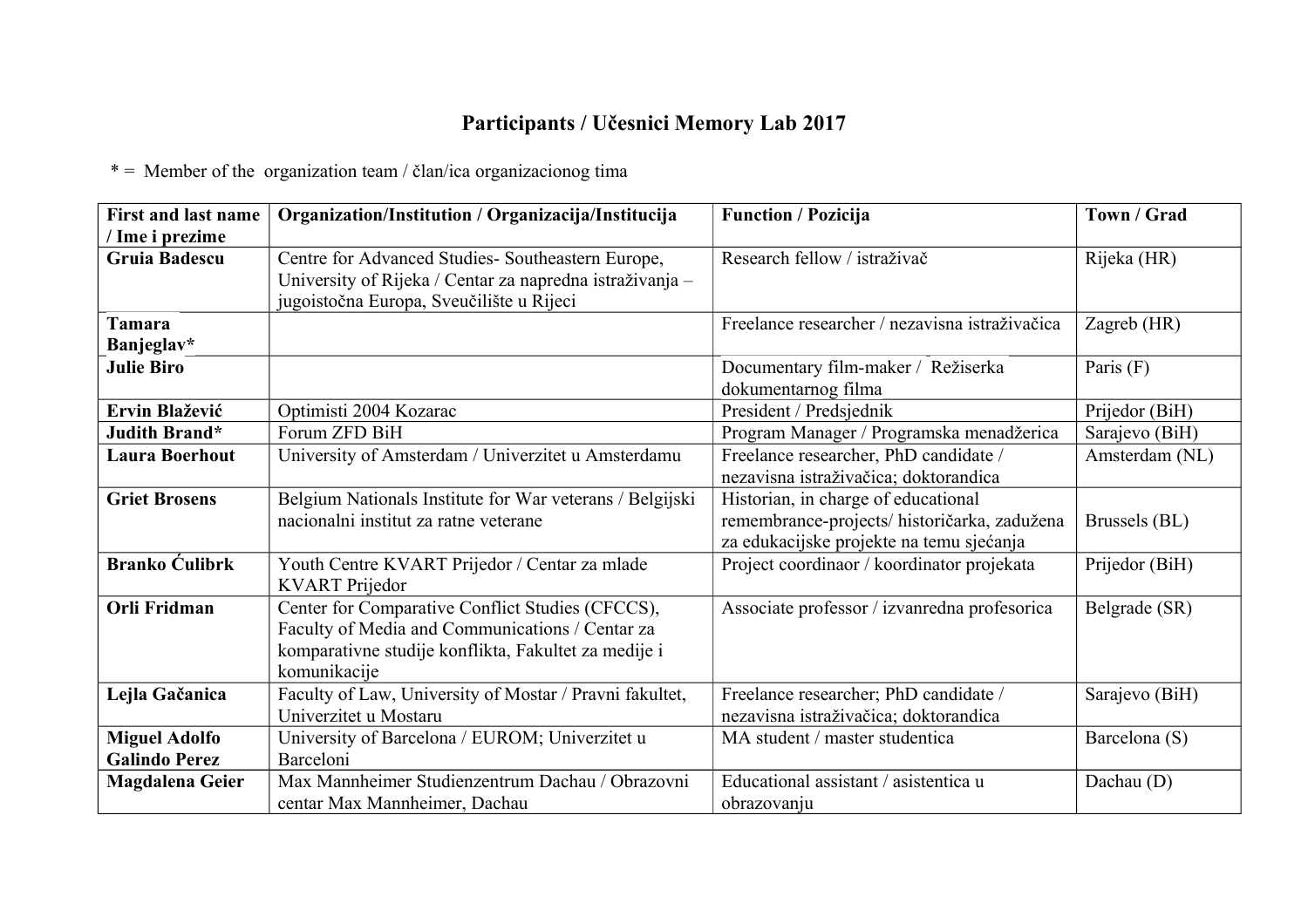## **Participants / Učesnici Memory Lab 2017**

 $*$  = Member of the organization team / član/ica organizacionog tima

| <b>First and last name</b> | Organization/Institution / Organizacija/Institucija      | <b>Function / Pozicija</b>                     | Town / Grad    |
|----------------------------|----------------------------------------------------------|------------------------------------------------|----------------|
| / Ime i prezime            |                                                          |                                                |                |
| <b>Gruia Badescu</b>       | Centre for Advanced Studies- Southeastern Europe,        | Research fellow / istraživač                   | Rijeka (HR)    |
|                            | University of Rijeka / Centar za napredna istraživanja - |                                                |                |
|                            | jugoistočna Europa, Sveučilište u Rijeci                 |                                                |                |
| <b>Tamara</b>              |                                                          | Freelance researcher / nezavisna istraživačica | Zagreb (HR)    |
| Banjeglav*                 |                                                          |                                                |                |
| <b>Julie Biro</b>          |                                                          | Documentary film-maker / Režiserka             | Paris (F)      |
|                            |                                                          | dokumentarnog filma                            |                |
| Ervin Blažević             | Optimisti 2004 Kozarac                                   | President / Predsjednik                        | Prijedor (BiH) |
| Judith Brand*              | Forum ZFD BiH                                            | Program Manager / Programska menadžerica       | Sarajevo (BiH) |
| <b>Laura Boerhout</b>      | University of Amsterdam / Univerzitet u Amsterdamu       | Freelance researcher, PhD candidate /          | Amsterdam (NL) |
|                            |                                                          | nezavisna istraživačica; doktorandica          |                |
| <b>Griet Brosens</b>       | Belgium Nationals Institute for War veterans / Belgijski | Historian, in charge of educational            |                |
|                            | nacionalni institut za ratne veterane                    | remembrance-projects/ historičarka, zadužena   | Brussels (BL)  |
|                            |                                                          | za edukacijske projekte na temu sjećanja       |                |
| <b>Branko Ćulibrk</b>      | Youth Centre KVART Prijedor / Centar za mlade            | Project coordinaor / koordinator projekata     | Prijedor (BiH) |
|                            | <b>KVART</b> Prijedor                                    |                                                |                |
| <b>Orli Fridman</b>        | Center for Comparative Conflict Studies (CFCCS),         | Associate professor / izvanredna profesorica   | Belgrade (SR)  |
|                            | Faculty of Media and Communications / Centar za          |                                                |                |
|                            | komparativne studije konflikta, Fakultet za medije i     |                                                |                |
|                            | komunikacije                                             |                                                |                |
| Lejla Gačanica             | Faculty of Law, University of Mostar / Pravni fakultet,  | Freelance researcher; PhD candidate /          | Sarajevo (BiH) |
|                            | Univerzitet u Mostaru                                    | nezavisna istraživačica; doktorandica          |                |
| <b>Miguel Adolfo</b>       | University of Barcelona / EUROM; Univerzitet u           | MA student / master studentica                 | Barcelona (S)  |
| <b>Galindo Perez</b>       | Barceloni                                                |                                                |                |
| <b>Magdalena Geier</b>     | Max Mannheimer Studienzentrum Dachau / Obrazovni         | Educational assistant / asistentica u          | Dachau (D)     |
|                            | centar Max Mannheimer, Dachau                            | obrazovanju                                    |                |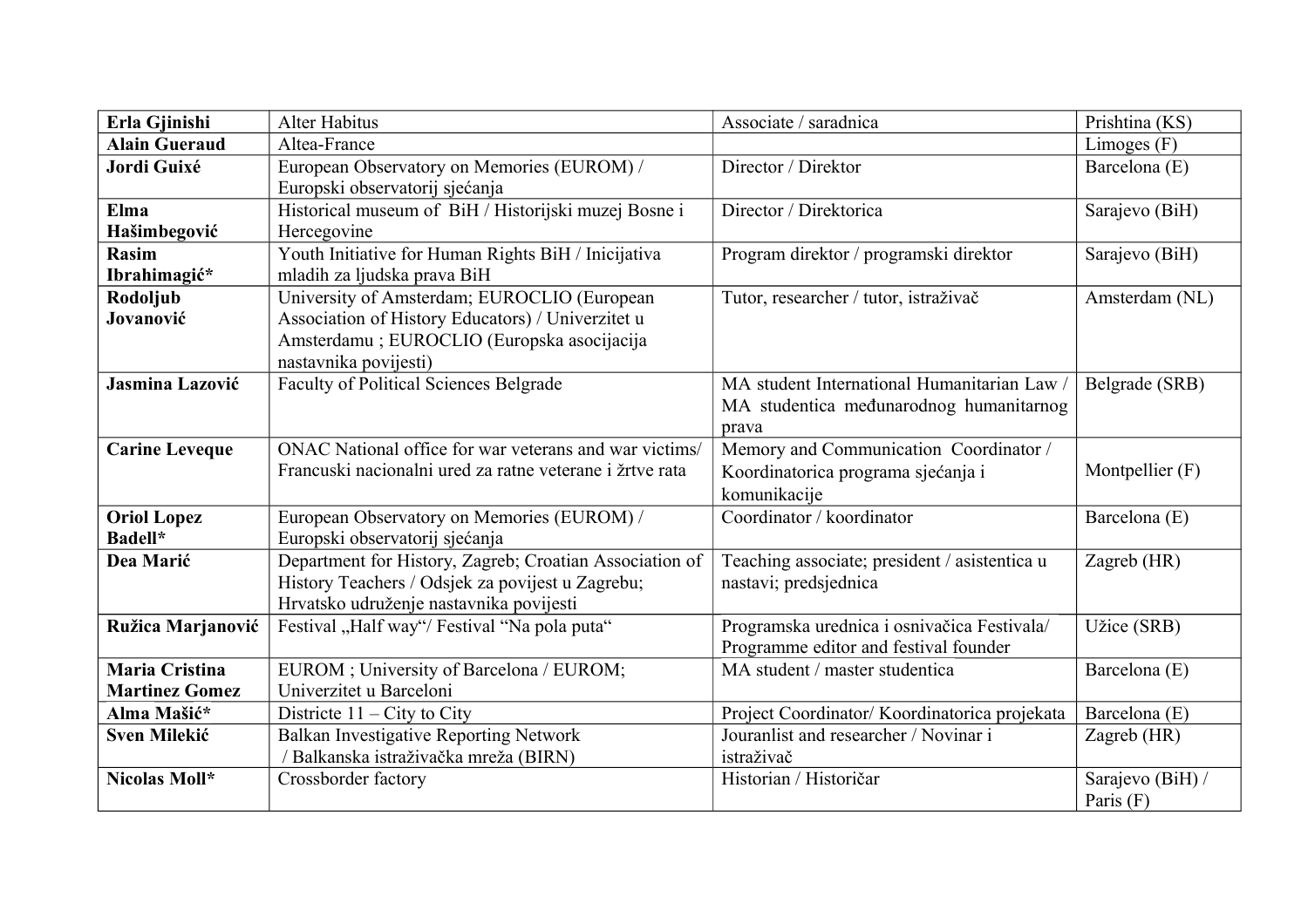| Erla Gjinishi                                  | Alter Habitus                                                                                                                                                            | Associate / saradnica                                                                         | Prishtina (KS)                  |
|------------------------------------------------|--------------------------------------------------------------------------------------------------------------------------------------------------------------------------|-----------------------------------------------------------------------------------------------|---------------------------------|
| <b>Alain Gueraud</b>                           | Altea-France                                                                                                                                                             |                                                                                               | Limoges (F)                     |
| Jordi Guixé                                    | European Observatory on Memories (EUROM) /<br>Europski observatorij sjećanja                                                                                             | Director / Direktor                                                                           | Barcelona (E)                   |
| Elma<br>Hašimbegović                           | Historical museum of BiH / Historijski muzej Bosne i<br>Hercegovine                                                                                                      | Director / Direktorica                                                                        | Sarajevo (BiH)                  |
| <b>Rasim</b><br>Ibrahimagić*                   | Youth Initiative for Human Rights BiH / Inicijativa<br>mladih za ljudska prava BiH                                                                                       | Program direktor / programski direktor                                                        | Sarajevo (BiH)                  |
| Rodoljub<br>Jovanović                          | University of Amsterdam; EUROCLIO (European<br>Association of History Educators) / Univerzitet u<br>Amsterdamu ; EUROCLIO (Europska asocijacija<br>nastavnika povijesti) | Tutor, researcher / tutor, istraživač                                                         | Amsterdam (NL)                  |
| Jasmina Lazović                                | <b>Faculty of Political Sciences Belgrade</b>                                                                                                                            | MA student International Humanitarian Law<br>MA studentica međunarodnog humanitarnog<br>prava | Belgrade (SRB)                  |
| <b>Carine Leveque</b>                          | ONAC National office for war veterans and war victims/<br>Francuski nacionalni ured za ratne veterane i žrtve rata                                                       | Memory and Communication Coordinator /<br>Koordinatorica programa sjećanja i<br>komunikacije  | Montpellier (F)                 |
| <b>Oriol Lopez</b><br><b>Badell*</b>           | European Observatory on Memories (EUROM) /<br>Europski observatorij sjećanja                                                                                             | Coordinator / koordinator                                                                     | Barcelona (E)                   |
| Dea Marić                                      | Department for History, Zagreb; Croatian Association of<br>History Teachers / Odsjek za povijest u Zagrebu;<br>Hrvatsko udruženje nastavnika povijesti                   | Teaching associate; president / asistentica u<br>nastavi; predsjednica                        | Zagreb (HR)                     |
| Ružica Marjanović                              | Festival "Half way"/ Festival "Na pola puta"                                                                                                                             | Programska urednica i osnivačica Festivala/<br>Programme editor and festival founder          | Užice (SRB)                     |
| <b>Maria Cristina</b><br><b>Martinez Gomez</b> | EUROM; University of Barcelona / EUROM;<br>Univerzitet u Barceloni                                                                                                       | MA student / master studentica                                                                | Barcelona (E)                   |
| Alma Mašić*                                    | Districte $11 - City$ to City                                                                                                                                            | Project Coordinator/ Koordinatorica projekata                                                 | Barcelona (E)                   |
| <b>Sven Milekić</b>                            | <b>Balkan Investigative Reporting Network</b><br>/ Balkanska istraživačka mreža (BIRN)                                                                                   | Jouranlist and researcher / Novinar i<br>istraživač                                           | Zagreb (HR)                     |
| Nicolas Moll*                                  | Crossborder factory                                                                                                                                                      | Historian / Historičar                                                                        | Sarajevo (BiH) /<br>Paris $(F)$ |